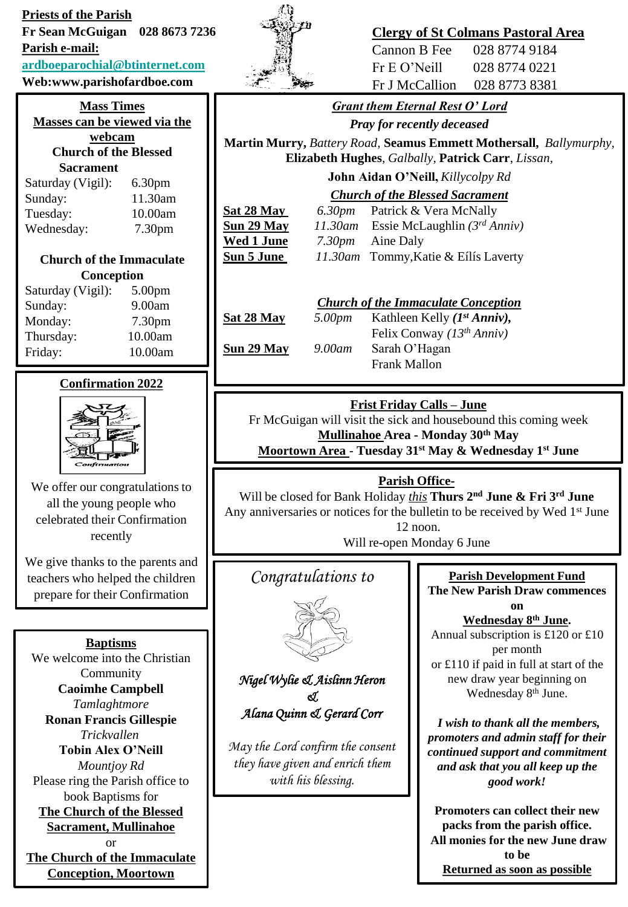**Priests of the Parish Fr Sean McGuigan 028 8673 7236** 

**Parish e-mail:**

### **[ardboeparochial@btinternet.com](mailto:ardboeparochial@btinternet.com)**

**Web:www.parishofardboe.com**

#### **Mass Times Masses can be viewed via the webcam**

**Church of the Blessed Sacrament**

| Saturday (Vigil): | 6.30 <sub>pm</sub> |
|-------------------|--------------------|
| Sunday:           | 11.30am            |
| Tuesday:          | 10.00am            |
| Wednesday:        | 7.30pm             |

### **Church of the Immaculate Conception**

| Saturday (Vigil): | 5.00 <sub>pm</sub> |
|-------------------|--------------------|
| Sunday:           | 9.00am             |
| Monday:           | 7.30 <sub>pm</sub> |
| Thursday:         | 10.00am            |
| Friday:           | 10.00am            |

# **Confirmation 2022**



We offer our congratulations to all the young people who celebrated their Confirmation recently

We give thanks to the parents and teachers who helped the children prepare for their Confirmation

**Baptisms** We welcome into the Christian Community **Caoimhe Campbell** *Tamlaghtmore* **Ronan Francis Gillespie** *Trickvallen* **Tobin Alex O'Neill** *Mountjoy Rd* Please ring the Parish office to book Baptisms for **The Church of the Blessed Sacrament, Mullinahoe** or **The Church of the Immaculate Conception, Moortown**



# **Clergy of St Colmans Pastoral Area**

Cannon B Fee 028 8774 9184 Fr E O'Neill 028 8774 0221 Fr J McCallion 028 8773 8381

# *Grant them Eternal Rest O' Lord*

*Pray for recently deceased*

**Martin Murry,** *Battery Road,* **Seamus Emmett Mothersall,** *Ballymurphy,*  **Elizabeth Hughes***, Galbally,* **Patrick Carr**, *Lissan,* 

**John Aidan O'Neill,** *Killycolpy Rd*

*Church of the Blessed Sacrament*

**Sat 28 May** *6.30pm* Patrick & Vera McNally

**Sun 29 May** *11.30am* Essie McLaughlin *(3rd Anniv)* **Wed 1 June** *7.30pm* Aine Daly **Sun 5 June** *11.30am* Tommy,Katie & Eílís Laverty

# *Church of the Immaculate Conception*

**Sat 28 May** *5.00pm* Kathleen Kelly *(1st Anniv),* Felix Conway *(13th Anniv)* **Sun 29 May** *9.00am* Sarah O'Hagan Frank Mallon

# **Frist Friday Calls – June**

Fr McGuigan will visit the sick and housebound this coming week **Mullinahoe Area - Monday 30th May**

**Moortown Area** - **Tuesday 31st May & Wednesday 1st June**

## **Parish Office-**

Will be closed for Bank Holiday *this* **Thurs 2nd June & Fri 3rd June** Any anniversaries or notices for the bulletin to be received by Wed 1<sup>st</sup> June 12 noon.

Will re-open Monday 6 June

# *Congratulations to*



*Nigel Wylie & Aislinn Heron & Alana Quinn & Gerard Corr*

*May the Lord confirm the consent they have given and enrich them with his blessing.*

### **Parish Development Fund The New Parish Draw commences**

**on Wednesday 8th June.** Annual subscription is £120 or £10 per month or £110 if paid in full at start of the new draw year beginning on Wednesday 8<sup>th</sup> June.

*I wish to thank all the members, promoters and admin staff for their continued support and commitment and ask that you all keep up the good work!*

**Promoters can collect their new packs from the parish office. All monies for the new June draw to be Returned as soon as possible**